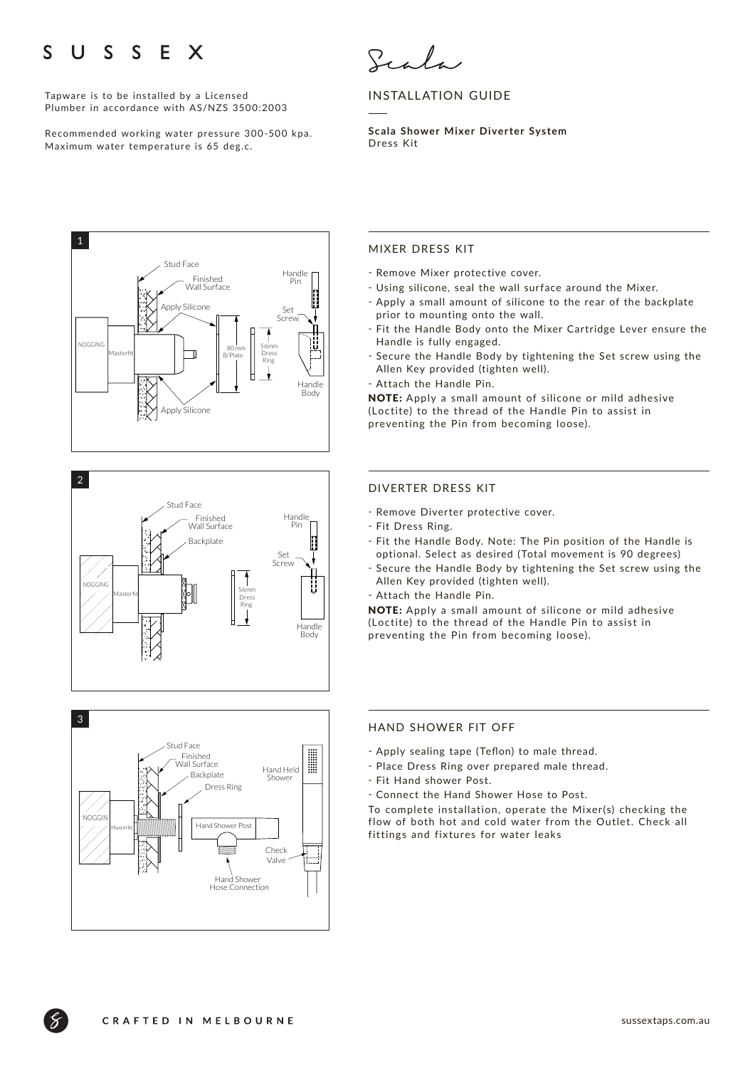### S S E X  $\mathsf{S}$  $\mathbf{U}$

Tapware is to be installed by a Licensed Plumber in accordance with AS/NZS 3500:2003

Recommended working water pressure 300-500 kpa. Maximum water temperature is 65 deg.c.

Scala

# INSTALLATION GUIDE

**Scala Shower Mixer Diverter System**  Dress Kit







### MIXER DRESS KIT

- Remove Mixer protective cover.
- Using silicone, seal the wall surface around the Mixer.
- Apply a small amount of silicone to the rear of the backplate prior to mounting onto the wall.
- Fit the Handle Body onto the Mixer Cartridge Lever ensure the Handle is fully engaged.
- ҃ Secure the Handle Body by tightening the Set screw using the Allen Key provided (tighten well).
- Attach the Handle Pin.

NOTE: Apply a small amount of silicone or mild adhesive (Loctite) to the thread of the Handle Pin to assist in preventing the Pin from becoming loose).

### DIVERTER DRESS KIT

- Remove Diverter protective cover.
- Fit Dress Ring.
- Fit the Handle Body. Note: The Pin position of the Handle is optional. Select as desired (Total movement is 90 degrees)
- Secure the Handle Body by tightening the Set screw using the Allen Key provided (tighten well).
- Attach the Handle Pin.

NOTE: Apply a small amount of silicone or mild adhesive (Loctite) to the thread of the Handle Pin to assist in preventing the Pin from becoming loose).

## HAND SHOWER FIT OFF

- ҃ Apply sealing tape (Teflon) to male thread.
- ҃ Place Dress Ring over prepared male thread.
- Fit Hand shower Post.
- ҃ Connect the Hand Shower Hose to Post.

To complete installation, operate the Mixer(s) checking the flow of both hot and cold water from the Outlet. Check all fittings and fixtures for water leaks